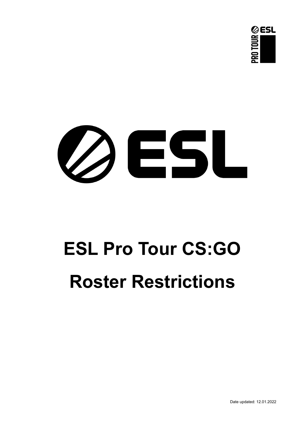



# **ESL Pro Tour CS:GO Roster Restrictions**

Date updated: 12.01.2022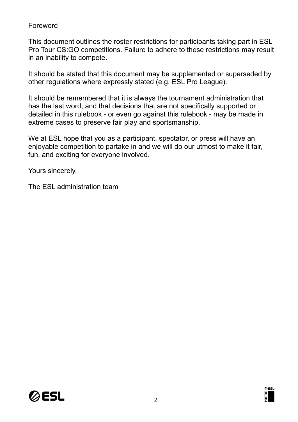## Foreword

This document outlines the roster restrictions for participants taking part in ESL Pro Tour CS:GO competitions. Failure to adhere to these restrictions may result in an inability to compete.

It should be stated that this document may be supplemented or superseded by other regulations where expressly stated (e.g. ESL Pro League).

It should be remembered that it is always the tournament administration that has the last word, and that decisions that are not specifically supported or detailed in this rulebook - or even go against this rulebook - may be made in extreme cases to preserve fair play and sportsmanship.

We at ESL hope that you as a participant, spectator, or press will have an enjoyable competition to partake in and we will do our utmost to make it fair, fun, and exciting for everyone involved.

Yours sincerely,

The ESL administration team



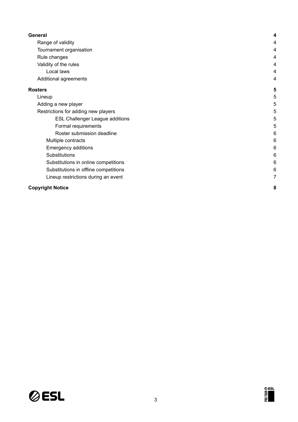| General                                | 4 |
|----------------------------------------|---|
| Range of validity                      | 4 |
| Tournament organisation                | 4 |
| Rule changes                           | 4 |
| Validity of the rules                  | 4 |
| Local laws                             | 4 |
| Additional agreements                  | 4 |
| <b>Rosters</b>                         | 5 |
| Lineup                                 | 5 |
| Adding a new player                    | 5 |
| Restrictions for adding new players    | 5 |
| <b>ESL Challenger League additions</b> | 5 |
| Formal requirements                    | 5 |
| Roster submission deadline             | 6 |
| Multiple contracts                     | 6 |
| <b>Emergency additions</b>             | 6 |
| Substitutions                          | 6 |
| Substitutions in online competitions   | 6 |
| Substitutions in offline competitions  | 6 |
| Lineup restrictions during an event    | 7 |
| <b>Copyright Notice</b>                | 8 |



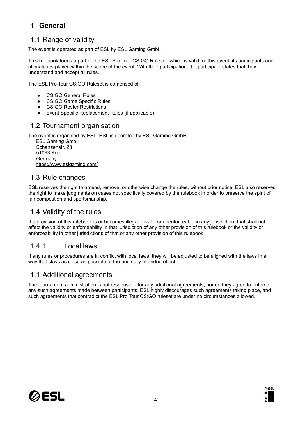# <span id="page-3-0"></span>**1 General**

## <span id="page-3-1"></span>1.1 Range of validity

The event is operated as part of ESL by ESL Gaming GmbH.

This rulebook forms a part of the ESL Pro Tour CS:GO Ruleset, which is valid for this event, its participants and all matches played within the scope of the event. With their participation, the participant states that they understand and accept all rules.

The ESL Pro Tour CS:GO Ruleset is comprised of:

- CS:GO General Rules
- CS:GO Game Specific Rules
- CS:GO Roster Restrictions
- Event Specific Replacement Rules (if applicable)

#### <span id="page-3-2"></span>1.2 Tournament organisation

The event is organised by ESL. ESL is operated by ESL Gaming GmbH.

ESL Gaming GmbH Schanzenstr. 23 51063 Köln Germany <https://www.eslgaming.com/>

### <span id="page-3-3"></span>1.3 Rule changes

ESL reserves the right to amend, remove, or otherwise change the rules, without prior notice. ESL also reserves the right to make judgments on cases not specifically covered by the rulebook in order to preserve the spirit of fair competition and sportsmanship.

#### <span id="page-3-4"></span>1.4 Validity of the rules

If a provision of this rulebook is or becomes illegal, invalid or unenforceable in any jurisdiction, that shall not affect the validity or enforceability in that jurisdiction of any other provision of this rulebook or the validity or enforceability in other jurisdictions of that or any other provision of this rulebook.

#### <span id="page-3-5"></span>1.4.1 Local laws

If any rules or procedures are in conflict with local laws, they will be adjusted to be aligned with the laws in a way that stays as close as possible to the originally intended effect.

#### <span id="page-3-6"></span>1.1 Additional agreements

The tournament administration is not responsible for any additional agreements, nor do they agree to enforce any such agreements made between participants. ESL highly discourages such agreements taking place, and such agreements that contradict the ESL Pro Tour CS:GO ruleset are under no circumstances allowed.



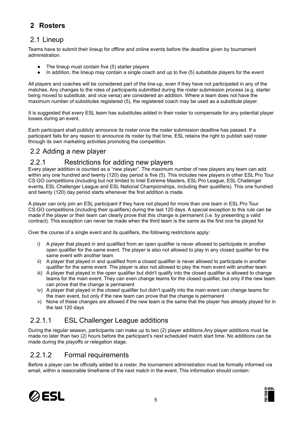# <span id="page-4-0"></span>**2 Rosters**

# <span id="page-4-1"></span>2.1 Lineup

Teams have to submit their lineup for offline and online events before the deadline given by tournament administration.

- The lineup must contain five (5) starter players
- In addition, the lineup may contain a single coach and up to five (5) substitute players for the event

All players and coaches will be considered part of the line-up, even if they have not participated in any of the matches. Any changes to the roles of participants submitted during the roster submission process (e.g. starter being moved to substitute, and vice versa) are considered an addition. Where a team does not have the maximum number of substitutes registered (5), the registered coach may be used as a substitute player.

It is suggested that every ESL team has substitutes added in their roster to compensate for any potential player losses during an event.

Each participant shall publicly announce its roster once the roster submission deadline has passed. If a participant fails for any reason to announce its roster by that time, ESL retains the right to publish said roster through its own marketing activities promoting the competition.

## <span id="page-4-2"></span>2.2 Adding a new player

## <span id="page-4-3"></span>2.2.1 Restrictions for adding new players

Every player addition is counted as a "new player". The maximum number of new players any team can add within any one hundred and twenty (120) day period is five (5). This includes new players in other ESL Pro Tour CS:GO competitions (including but not limited to Intel Extreme Masters, ESL Pro League, ESL Challenger events, ESL Challenger League and ESL National Championships, including their qualifiers). This one hundred and twenty (120) day period starts whenever the first addition is made.

A player can only join an ESL participant if they have not played for more than one team in ESL Pro Tour CS:GO competitions (including their qualifiers) during the last 120 days. A special exception to this rule can be made if the player or their team can clearly prove that this change is permanent (i.e. by presenting a valid contract). This exception can never be made when the third team is the same as the first one he played for.

Over the course of a single event and its qualifiers, the following restrictions apply:

- i) A player that played in and qualified from an open qualifier is never allowed to participate in another open qualifier for the same event. The player is also not allowed to play in any closed qualifier for the same event with another team
- ii) A player that played in and qualified from a closed qualifier is never allowed to participate in another qualifier for the same event. The player is also not allowed to play the main event with another team
- iii) A player that played in the open qualifier but didn't qualify into the closed qualifier is allowed to change teams for the main event. They can even change teams for the closed qualifier, but only if the new team can prove that the change is permanent
- iv) A player that played in the closed qualifier but didn't qualify into the main event can change teams for the main event, but only if the new team can prove that the change is permanent
- v) None of these changes are allowed if the new team is the same that the player has already played for in the last 120 days

# <span id="page-4-4"></span>2.2.1.1 ESL Challenger League additions

During the regular season, participants can make up to two (2) player additions.Any player additions must be made no later than two (2) hours before the participant's next scheduled match start time. No additions can be made during the playoffs or relegation stage.

## <span id="page-4-5"></span>2.2.1.2 Formal requirements

Before a player can be officially added to a roster, the tournament administration must be formally informed via email, within a reasonable timeframe of the next match in the event. This information should contain:



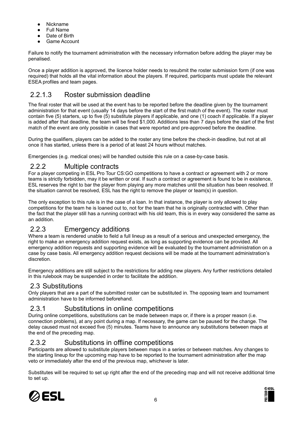- Nickname
- **Full Name**
- Date of Birth
- Game Account

Failure to notify the tournament administration with the necessary information before adding the player may be penalised.

Once a player addition is approved, the licence holder needs to resubmit the roster submission form (if one was required) that holds all the vital information about the players. If required, participants must update the relevant ESEA profiles and team pages.

## <span id="page-5-0"></span>2.2.1.3 Roster submission deadline

The final roster that will be used at the event has to be reported before the deadline given by the tournament administration for that event (usually 14 days before the start of the first match of the event). The roster must contain five (5) starters, up to five (5) substitute players if applicable, and one (1) coach if applicable. If a player is added after that deadline, the team will be fined \$1,000. Additions less than 7 days before the start of the first match of the event are only possible in cases that were reported and pre-approved before the deadline.

During the qualifiers, players can be added to the roster any time before the check-in deadline, but not at all once it has started, unless there is a period of at least 24 hours without matches.

Emergencies (e.g. medical ones) will be handled outside this rule on a case-by-case basis.

### <span id="page-5-1"></span>2.2.2 Multiple contracts

For a player competing in ESL Pro Tour CS:GO competitions to have a contract or agreement with 2 or more teams is strictly forbidden, may it be written or oral. If such a contract or agreement is found to be in existence, ESL reserves the right to bar the player from playing any more matches until the situation has been resolved. If the situation cannot be resolved, ESL has the right to remove the player or team(s) in question.

The only exception to this rule is in the case of a loan. In that instance, the player is only allowed to play competitions for the team he is loaned out to, not for the team that he is originally contracted with. Other than the fact that the player still has a running contract with his old team, this is in every way considered the same as an addition.

# <span id="page-5-2"></span>2.2.3 Emergency additions

Where a team is rendered unable to field a full lineup as a result of a serious and unexpected emergency, the right to make an emergency addition request exists, as long as supporting evidence can be provided. All emergency addition requests and supporting evidence will be evaluated by the tournament administration on a case by case basis. All emergency addition request decisions will be made at the tournament administration's discretion.

Emergency additions are still subject to the restrictions for adding new players. Any further restrictions detailed in this rulebook may be suspended in order to facilitate the addition.

## <span id="page-5-3"></span>2.3 Substitutions

Only players that are a part of the submitted roster can be substituted in. The opposing team and tournament administration have to be informed beforehand.

## <span id="page-5-4"></span>2.3.1 Substitutions in online competitions

During online competitions, substitutions can be made between maps or, if there is a proper reason (i.e. connection problems), at any point during a map. If necessary, the game can be paused for the change. The delay caused must not exceed five (5) minutes. Teams have to announce any substitutions between maps at the end of the preceding map.

## <span id="page-5-5"></span>2.3.2 Substitutions in offline competitions

Participants are allowed to substitute players between maps in a series or between matches. Any changes to the starting lineup for the upcoming map have to be reported to the tournament administration after the map veto or immediately after the end of the previous map, whichever is later.

Substitutes will be required to set up right after the end of the preceding map and will not receive additional time to set up.



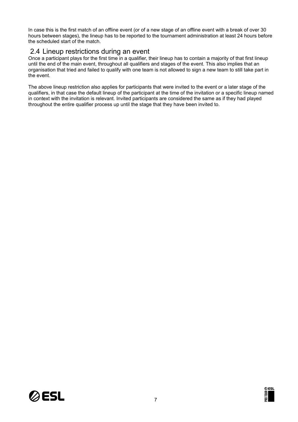In case this is the first match of an offline event (or of a new stage of an offline event with a break of over 30 hours between stages), the lineup has to be reported to the tournament administration at least 24 hours before the scheduled start of the match.

#### <span id="page-6-0"></span>2.4 Lineup restrictions during an event

Once a participant plays for the first time in a qualifier, their lineup has to contain a majority of that first lineup until the end of the main event, throughout all qualifiers and stages of the event. This also implies that an organisation that tried and failed to qualify with one team is not allowed to sign a new team to still take part in the event.

The above lineup restriction also applies for participants that were invited to the event or a later stage of the qualifiers, in that case the default lineup of the participant at the time of the invitation or a specific lineup named in context with the invitation is relevant. Invited participants are considered the same as if they had played throughout the entire qualifier process up until the stage that they have been invited to.